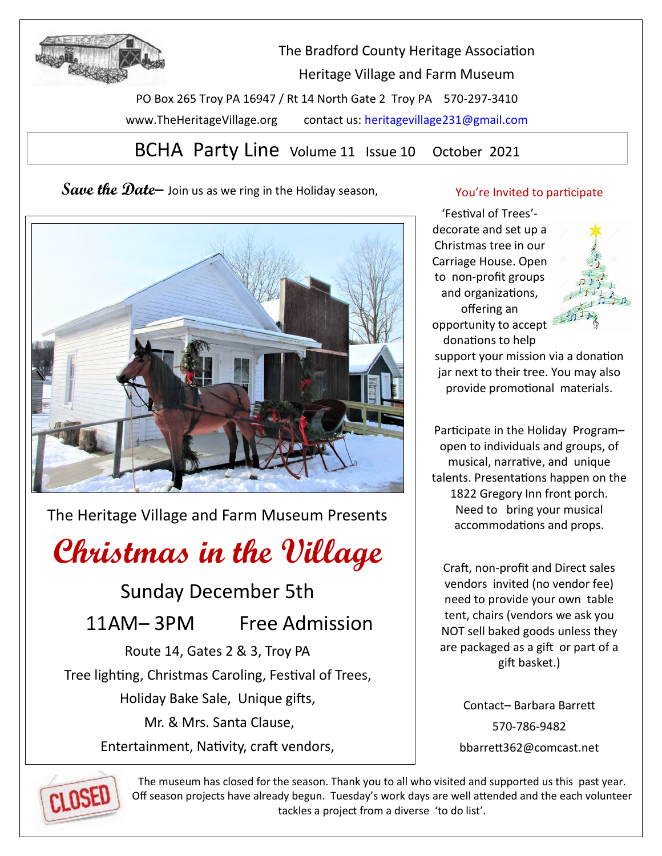

The Bradford County Heritage Association Heritage Village and Farm Museum

PO Box 265 Troy PA 16947 / Rt 14 North Gate 2 Troy PA 570-297-3410 www.TheHeritageVillage.org contact us: heritagevillage231@gmail.com

BCHA Party Line Volume 11 Issue 10 October 2021

**Save the Date–** Join us as we ring in the Holiday season,



The Heritage Village and Farm Museum Presents

# **Christmas in the Village**

Sunday December 5th

11AM– 3PM Free Admission

Route 14, Gates 2 & 3, Troy PA Tree lighting, Christmas Caroling, Festival of Trees, Holiday Bake Sale, Unique gifts, Mr. & Mrs. Santa Clause,

Entertainment, Nativity, craft vendors,

# You're Invited to participate

'Festival of Trees' decorate and set up a Christmas tree in our Carriage House. Open to non-profit groups and organizations, offering an opportunity to accept donations to help



support your mission via a donation jar next to their tree. You may also provide promotional materials.

Participate in the Holiday Program– open to individuals and groups, of musical, narrative, and unique talents. Presentations happen on the 1822 Gregory Inn front porch. Need to bring your musical accommodations and props.

Craft, non-profit and Direct sales vendors invited (no vendor fee) need to provide your own table tent, chairs (vendors we ask you NOT sell baked goods unless they are packaged as a gift or part of a gift basket.)

> Contact– Barbara Barrett 570-786-9482 bbarrett362@comcast.net



The museum has closed for the season. Thank you to all who visited and supported us this past year. Off season projects have already begun. Tuesday's work days are well attended and the each volunteer tackles a project from a diverse 'to do list'.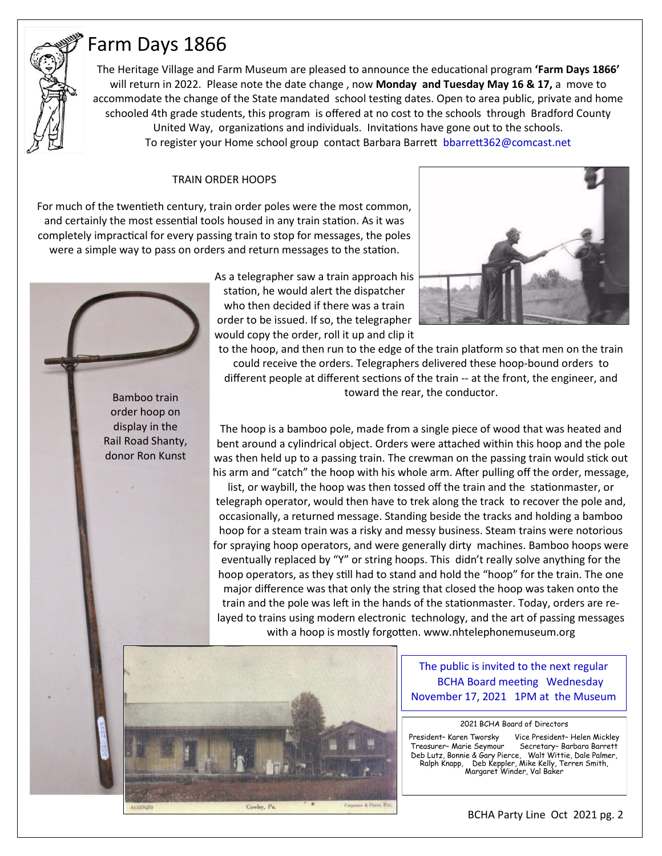# Farm Days 1866

The Heritage Village and Farm Museum are pleased to announce the educational program **'Farm Days 1866'**  will return in 2022. Please note the date change , now **Monday and Tuesday May 16 & 17,** a move to accommodate the change of the State mandated school testing dates. Open to area public, private and home schooled 4th grade students, this program is offered at no cost to the schools through Bradford County United Way, organizations and individuals. Invitations have gone out to the schools. To register your Home school group contact Barbara Barrett bbarrett362@comcast.net

### TRAIN ORDER HOOPS

For much of the twentieth century, train order poles were the most common, and certainly the most essential tools housed in any train station. As it was completely impractical for every passing train to stop for messages, the poles were a simple way to pass on orders and return messages to the station.



As a telegrapher saw a train approach his station, he would alert the dispatcher who then decided if there was a train order to be issued. If so, the telegrapher would copy the order, roll it up and clip it



to the hoop, and then run to the edge of the train platform so that men on the train could receive the orders. Telegraphers delivered these hoop-bound orders to different people at different sections of the train -- at the front, the engineer, and toward the rear, the conductor.

The hoop is a bamboo pole, made from a single piece of wood that was heated and bent around a cylindrical object. Orders were attached within this hoop and the pole was then held up to a passing train. The crewman on the passing train would stick out his arm and "catch" the hoop with his whole arm. After pulling off the order, message,

list, or waybill, the hoop was then tossed off the train and the stationmaster, or telegraph operator, would then have to trek along the track to recover the pole and, occasionally, a returned message. Standing beside the tracks and holding a bamboo hoop for a steam train was a risky and messy business. Steam trains were notorious for spraying hoop operators, and were generally dirty machines. Bamboo hoops were eventually replaced by "Y" or string hoops. This didn't really solve anything for the hoop operators, as they still had to stand and hold the "hoop" for the train. The one major difference was that only the string that closed the hoop was taken onto the train and the pole was left in the hands of the stationmaster. Today, orders are relayed to trains using modern electronic technology, and the art of passing messages with a hoop is mostly forgotten. www.nhtelephonemuseum.org



The public is invited to the next regular BCHA Board meeting Wednesday November 17, 2021 1PM at the Museum

2021 BCHA Board of Directors

President– Karen Tworsky Vice President– Helen Mickley Treasurer– Marie Seymour Secretary– Barbara Barrett Deb Lutz, Bonnie & Gary Pierce, Walt Wittie, Dale Palmer, Ralph Knapp, Deb Keppler, Mike Kelly, Terren Smith, eo Luiz, مسبوع Ralph Knapp, Deb Keppier, mune<br>Margaret Winder, Val Baker<br>Margaret Winder, Val Baker